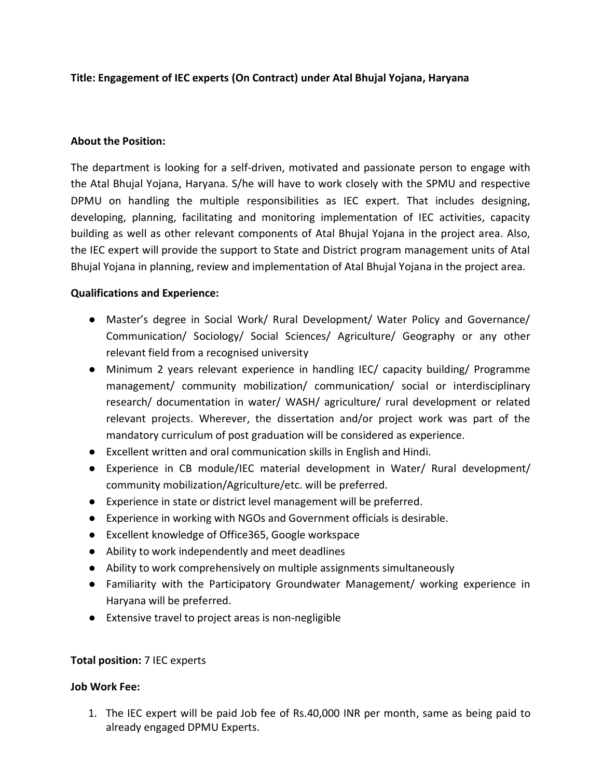## **Title: Engagement of IEC experts (On Contract) under Atal Bhujal Yojana, Haryana**

### **About the Position:**

The department is looking for a self-driven, motivated and passionate person to engage with the Atal Bhujal Yojana, Haryana. S/he will have to work closely with the SPMU and respective DPMU on handling the multiple responsibilities as IEC expert. That includes designing, developing, planning, facilitating and monitoring implementation of IEC activities, capacity building as well as other relevant components of Atal Bhujal Yojana in the project area. Also, the IEC expert will provide the support to State and District program management units of Atal Bhujal Yojana in planning, review and implementation of Atal Bhujal Yojana in the project area.

#### **Qualifications and Experience:**

- Master's degree in Social Work/ Rural Development/ Water Policy and Governance/ Communication/ Sociology/ Social Sciences/ Agriculture/ Geography or any other relevant field from a recognised university
- Minimum 2 years relevant experience in handling IEC/ capacity building/ Programme management/ community mobilization/ communication/ social or interdisciplinary research/ documentation in water/ WASH/ agriculture/ rural development or related relevant projects. Wherever, the dissertation and/or project work was part of the mandatory curriculum of post graduation will be considered as experience.
- Excellent written and oral communication skills in English and Hindi.
- Experience in CB module/IEC material development in Water/ Rural development/ community mobilization/Agriculture/etc. will be preferred.
- Experience in state or district level management will be preferred.
- Experience in working with NGOs and Government officials is desirable.
- Excellent knowledge of Office365, Google workspace
- Ability to work independently and meet deadlines
- Ability to work comprehensively on multiple assignments simultaneously
- Familiarity with the Participatory Groundwater Management/ working experience in Haryana will be preferred.
- Extensive travel to project areas is non-negligible

### **Total position:** 7 IEC experts

### **Job Work Fee:**

1. The IEC expert will be paid Job fee of Rs.40,000 INR per month, same as being paid to already engaged DPMU Experts.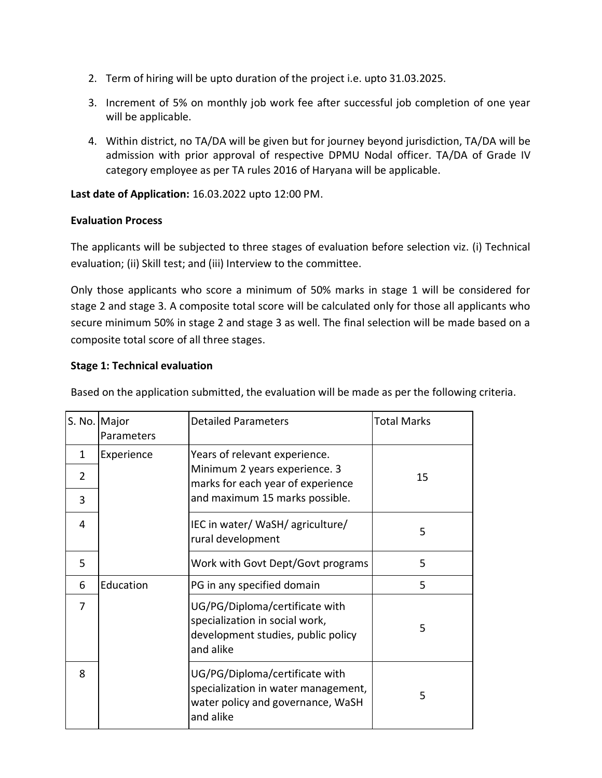- 2. Term of hiring will be upto duration of the project i.e. upto 31.03.2025.
- 3. Increment of 5% on monthly job work fee after successful job completion of one year will be applicable.
- 4. Within district, no TA/DA will be given but for journey beyond jurisdiction, TA/DA will be admission with prior approval of respective DPMU Nodal officer. TA/DA of Grade IV category employee as per TA rules 2016 of Haryana will be applicable.

**Last date of Application:** 16.03.2022 upto 12:00 PM.

## **Evaluation Process**

The applicants will be subjected to three stages of evaluation before selection viz. (i) Technical evaluation; (ii) Skill test; and (iii) Interview to the committee.

Only those applicants who score a minimum of 50% marks in stage 1 will be considered for stage 2 and stage 3. A composite total score will be calculated only for those all applicants who secure minimum 50% in stage 2 and stage 3 as well. The final selection will be made based on a composite total score of all three stages.

### **Stage 1: Technical evaluation**

Based on the application submitted, the evaluation will be made as per the following criteria.

|   | S. No. Major<br>Parameters | <b>Detailed Parameters</b>                                                                                              | <b>Total Marks</b> |
|---|----------------------------|-------------------------------------------------------------------------------------------------------------------------|--------------------|
| 1 | Experience                 | Years of relevant experience.                                                                                           |                    |
| 2 |                            | Minimum 2 years experience. 3<br>marks for each year of experience                                                      | 15                 |
| 3 |                            | and maximum 15 marks possible.                                                                                          |                    |
| 4 |                            | IEC in water/ WaSH/ agriculture/<br>rural development                                                                   | 5                  |
| 5 |                            | Work with Govt Dept/Govt programs                                                                                       | 5                  |
| 6 | Education                  | PG in any specified domain                                                                                              | 5                  |
| 7 |                            | UG/PG/Diploma/certificate with<br>specialization in social work,<br>development studies, public policy<br>and alike     | 5                  |
| 8 |                            | UG/PG/Diploma/certificate with<br>specialization in water management,<br>water policy and governance, WaSH<br>and alike | 5                  |